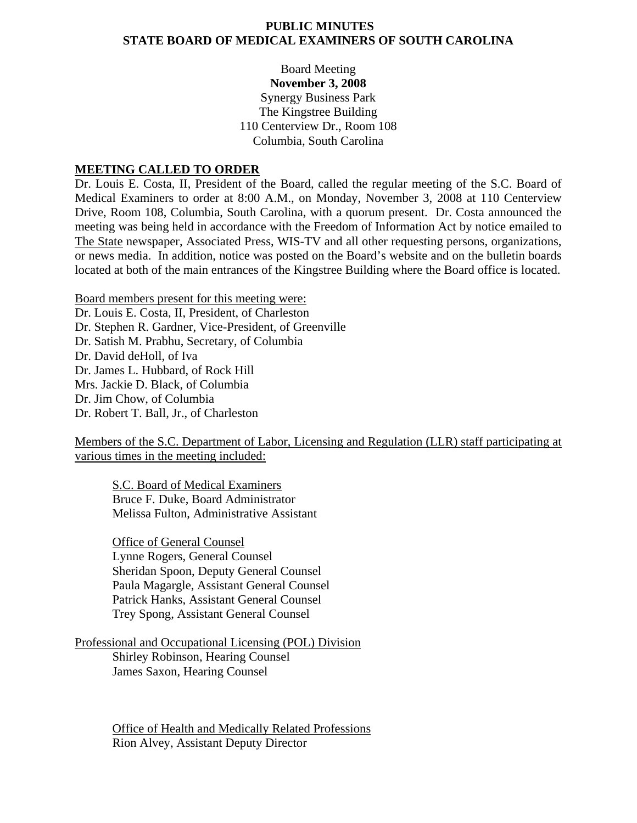#### **PUBLIC MINUTES STATE BOARD OF MEDICAL EXAMINERS OF SOUTH CAROLINA**

## Board Meeting **November 3, 2008**  Synergy Business Park The Kingstree Building 110 Centerview Dr., Room 108 Columbia, South Carolina

#### **MEETING CALLED TO ORDER**

Dr. Louis E. Costa, II, President of the Board, called the regular meeting of the S.C. Board of Medical Examiners to order at 8:00 A.M., on Monday, November 3, 2008 at 110 Centerview Drive, Room 108, Columbia, South Carolina, with a quorum present. Dr. Costa announced the meeting was being held in accordance with the Freedom of Information Act by notice emailed to The State newspaper, Associated Press, WIS-TV and all other requesting persons, organizations, or news media. In addition, notice was posted on the Board's website and on the bulletin boards located at both of the main entrances of the Kingstree Building where the Board office is located.

Board members present for this meeting were:

Dr. Louis E. Costa, II, President, of Charleston Dr. Stephen R. Gardner, Vice-President, of Greenville Dr. Satish M. Prabhu, Secretary, of Columbia Dr. David deHoll, of Iva Dr. James L. Hubbard, of Rock Hill Mrs. Jackie D. Black, of Columbia Dr. Jim Chow, of Columbia Dr. Robert T. Ball, Jr., of Charleston

Members of the S.C. Department of Labor, Licensing and Regulation (LLR) staff participating at various times in the meeting included:

S.C. Board of Medical Examiners Bruce F. Duke, Board Administrator Melissa Fulton, Administrative Assistant

 Office of General Counsel Lynne Rogers, General Counsel Sheridan Spoon, Deputy General Counsel Paula Magargle, Assistant General Counsel Patrick Hanks, Assistant General Counsel Trey Spong, Assistant General Counsel

Professional and Occupational Licensing (POL) Division Shirley Robinson, Hearing Counsel James Saxon, Hearing Counsel

> Office of Health and Medically Related Professions Rion Alvey, Assistant Deputy Director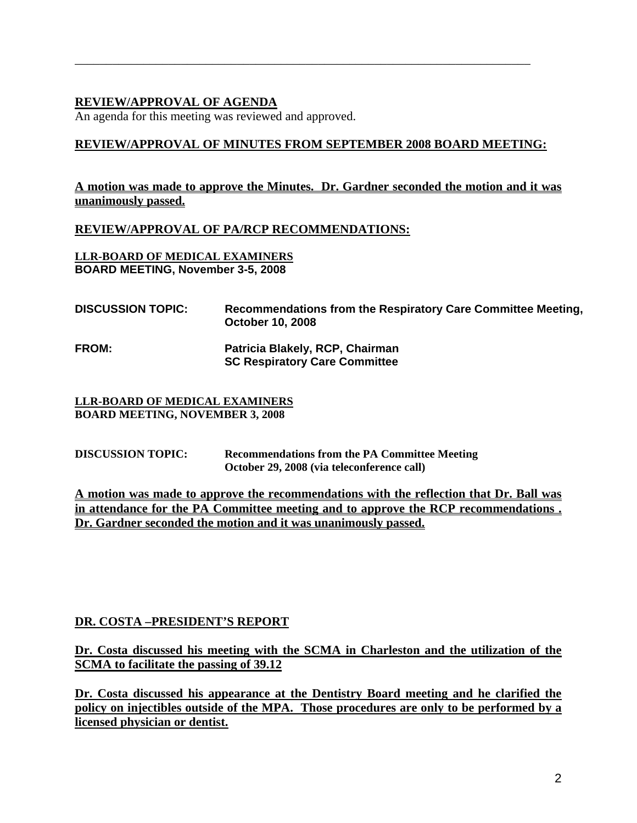# **REVIEW/APPROVAL OF AGENDA**

An agenda for this meeting was reviewed and approved.

# **REVIEW/APPROVAL OF MINUTES FROM SEPTEMBER 2008 BOARD MEETING:**

\_\_\_\_\_\_\_\_\_\_\_\_\_\_\_\_\_\_\_\_\_\_\_\_\_\_\_\_\_\_\_\_\_\_\_\_\_\_\_\_\_\_\_\_\_\_\_\_\_\_\_\_\_\_\_\_\_\_\_\_\_\_\_\_\_\_\_\_\_\_\_\_\_

# **A motion was made to approve the Minutes. Dr. Gardner seconded the motion and it was unanimously passed.**

### **REVIEW/APPROVAL OF PA/RCP RECOMMENDATIONS:**

**LLR-BOARD OF MEDICAL EXAMINERS BOARD MEETING, November 3-5, 2008** 

| <b>DISCUSSION TOPIC:</b> | Recommendations from the Respiratory Care Committee Meeting,<br><b>October 10, 2008</b> |
|--------------------------|-----------------------------------------------------------------------------------------|
| <b>FROM:</b>             | Patricia Blakely, RCP, Chairman<br><b>SC Respiratory Care Committee</b>                 |

#### **LLR-BOARD OF MEDICAL EXAMINERS BOARD MEETING, NOVEMBER 3, 2008**

**DISCUSSION TOPIC: Recommendations from the PA Committee Meeting October 29, 2008 (via teleconference call)** 

**A motion was made to approve the recommendations with the reflection that Dr. Ball was in attendance for the PA Committee meeting and to approve the RCP recommendations . Dr. Gardner seconded the motion and it was unanimously passed.** 

# **DR. COSTA –PRESIDENT'S REPORT**

**Dr. Costa discussed his meeting with the SCMA in Charleston and the utilization of the SCMA to facilitate the passing of 39.12**

**Dr. Costa discussed his appearance at the Dentistry Board meeting and he clarified the policy on injectibles outside of the MPA. Those procedures are only to be performed by a licensed physician or dentist.**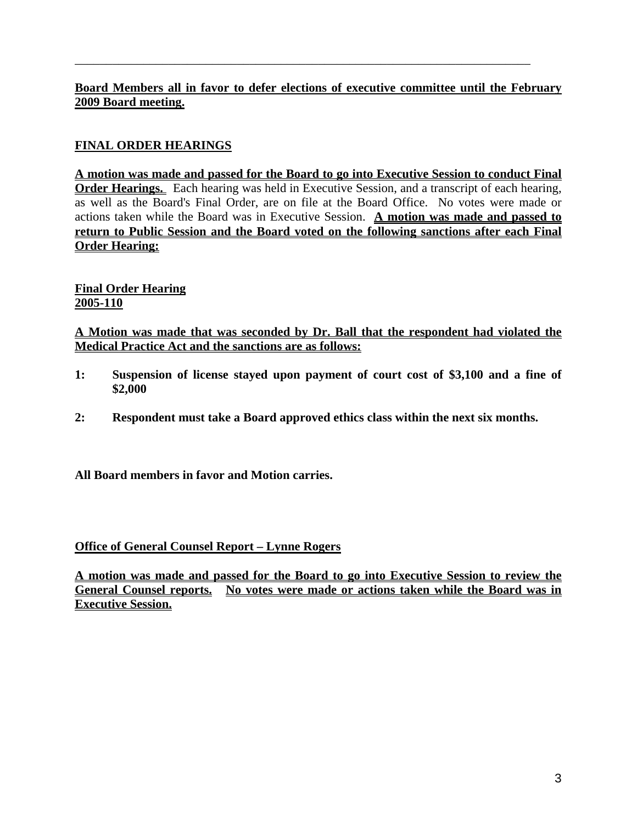# **Board Members all in favor to defer elections of executive committee until the February 2009 Board meeting.**

\_\_\_\_\_\_\_\_\_\_\_\_\_\_\_\_\_\_\_\_\_\_\_\_\_\_\_\_\_\_\_\_\_\_\_\_\_\_\_\_\_\_\_\_\_\_\_\_\_\_\_\_\_\_\_\_\_\_\_\_\_\_\_\_\_\_\_\_\_\_\_\_\_

# **FINAL ORDER HEARINGS**

**A motion was made and passed for the Board to go into Executive Session to conduct Final Order Hearings.** Each hearing was held in Executive Session, and a transcript of each hearing, as well as the Board's Final Order, are on file at the Board Office. No votes were made or actions taken while the Board was in Executive Session. **A motion was made and passed to return to Public Session and the Board voted on the following sanctions after each Final Order Hearing:**

**Final Order Hearing 2005-110**

**A Motion was made that was seconded by Dr. Ball that the respondent had violated the Medical Practice Act and the sanctions are as follows:**

- **1: Suspension of license stayed upon payment of court cost of \$3,100 and a fine of \$2,000**
- **2: Respondent must take a Board approved ethics class within the next six months.**

**All Board members in favor and Motion carries.**

#### **Office of General Counsel Report – Lynne Rogers**

**A motion was made and passed for the Board to go into Executive Session to review the General Counsel reports. No votes were made or actions taken while the Board was in Executive Session.**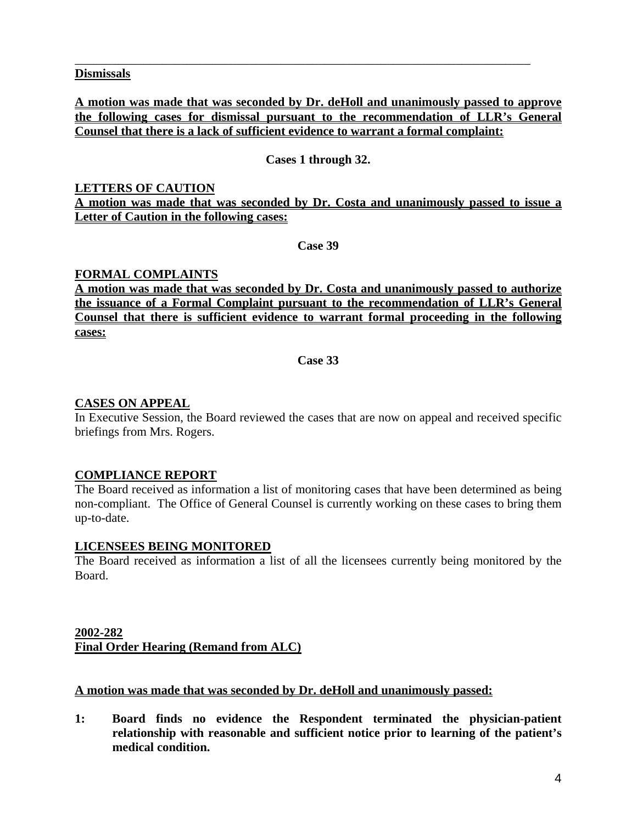#### **Dismissals**

## **A motion was made that was seconded by Dr. deHoll and unanimously passed to approve the following cases for dismissal pursuant to the recommendation of LLR's General Counsel that there is a lack of sufficient evidence to warrant a formal complaint:**

\_\_\_\_\_\_\_\_\_\_\_\_\_\_\_\_\_\_\_\_\_\_\_\_\_\_\_\_\_\_\_\_\_\_\_\_\_\_\_\_\_\_\_\_\_\_\_\_\_\_\_\_\_\_\_\_\_\_\_\_\_\_\_\_\_\_\_\_\_\_\_\_\_

## **Cases 1 through 32.**

### **LETTERS OF CAUTION A motion was made that was seconded by Dr. Costa and unanimously passed to issue a Letter of Caution in the following cases:**

**Case 39** 

### **FORMAL COMPLAINTS**

**A motion was made that was seconded by Dr. Costa and unanimously passed to authorize the issuance of a Formal Complaint pursuant to the recommendation of LLR's General Counsel that there is sufficient evidence to warrant formal proceeding in the following cases:**

**Case 33** 

### **CASES ON APPEAL**

In Executive Session, the Board reviewed the cases that are now on appeal and received specific briefings from Mrs. Rogers.

# **COMPLIANCE REPORT**

The Board received as information a list of monitoring cases that have been determined as being non-compliant. The Office of General Counsel is currently working on these cases to bring them up-to-date.

#### **LICENSEES BEING MONITORED**

The Board received as information a list of all the licensees currently being monitored by the Board.

# **2002-282 Final Order Hearing (Remand from ALC)**

# **A motion was made that was seconded by Dr. deHoll and unanimously passed:**

**1: Board finds no evidence the Respondent terminated the physician-patient relationship with reasonable and sufficient notice prior to learning of the patient's medical condition.**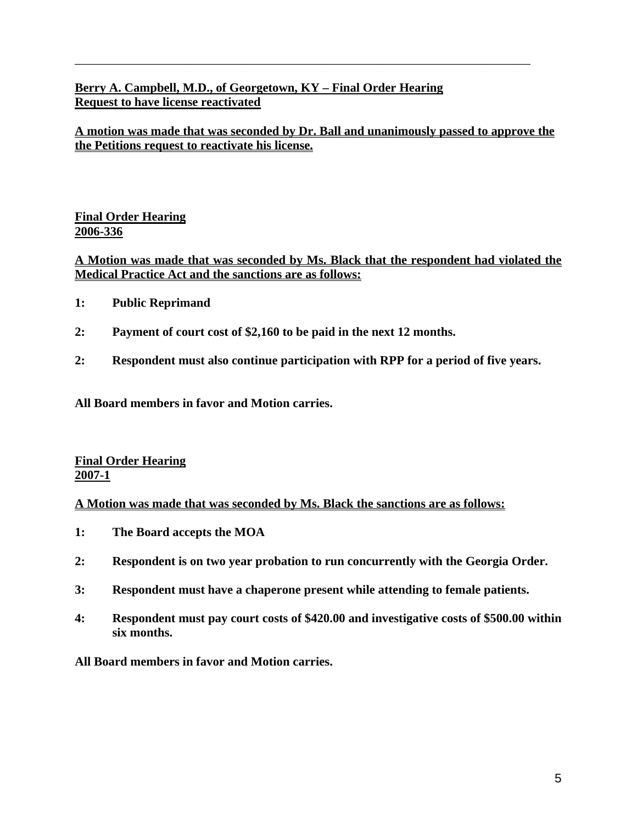# **Berry A. Campbell, M.D., of Georgetown, KY – Final Order Hearing Request to have license reactivated**

**A motion was made that was seconded by Dr. Ball and unanimously passed to approve the the Petitions request to reactivate his license.**

\_\_\_\_\_\_\_\_\_\_\_\_\_\_\_\_\_\_\_\_\_\_\_\_\_\_\_\_\_\_\_\_\_\_\_\_\_\_\_\_\_\_\_\_\_\_\_\_\_\_\_\_\_\_\_\_\_\_\_\_\_\_\_\_\_\_\_\_\_\_\_\_\_

# **Final Order Hearing 2006-336**

# **A Motion was made that was seconded by Ms. Black that the respondent had violated the Medical Practice Act and the sanctions are as follows:**

- **1: Public Reprimand**
- **2: Payment of court cost of \$2,160 to be paid in the next 12 months.**
- **2: Respondent must also continue participation with RPP for a period of five years.**

**All Board members in favor and Motion carries.**

**Final Order Hearing 2007-1**

#### **A Motion was made that was seconded by Ms. Black the sanctions are as follows:**

- **1: The Board accepts the MOA**
- **2: Respondent is on two year probation to run concurrently with the Georgia Order.**
- **3: Respondent must have a chaperone present while attending to female patients.**
- **4: Respondent must pay court costs of \$420.00 and investigative costs of \$500.00 within six months.**

**All Board members in favor and Motion carries.**